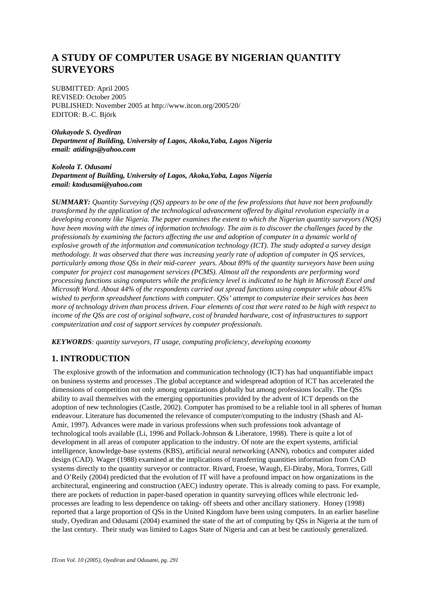# **A STUDY OF COMPUTER USAGE BY NIGERIAN QUANTITY SURVEYORS**

SUBMITTED: April 2005 REVISED: October 2005 PUBLISHED: November 2005 at http://www.itcon.org/2005/20/ EDITOR: B.-C. Björk

*Olukayode S. Oyediran Department of Building, University of Lagos, Akoka,Yaba, Lagos Nigeria email: atidings@yahoo.com*

#### *Koleola T. Odusami Department of Building, University of Lagos, Akoka,Yaba, Lagos Nigeria email: ktodusami@yahoo.com*

*SUMMARY: Quantity Surveying (QS) appears to be one of the few professions that have not been profoundly transformed by the application of the technological advancement offered by digital revolution especially in a developing economy like Nigeria. The paper examines the extent to which the Nigerian quantity surveyors (NQS) have been moving with the times of information technology. The aim is to discover the challenges faced by the professionals by examining the factors affecting the use and adoption of computer in a dynamic world of explosive growth of the information and communication technology (ICT). The study adopted a survey design methodology. It was observed that there was increasing yearly rate of adoption of computer in QS services, particularly among those QSs in their mid-career years. About 89% of the quantity surveyors have been using computer for project cost management services (PCMS). Almost all the respondents are performing word processing functions using computers while the proficiency level is indicated to be high in Microsoft Excel and Microsoft Word. About 44% of the respondents carried out spread functions using computer while about 45% wished to perform spreadsheet functions with computer. QSs' attempt to computerize their services has been more of technology driven than process driven. Four elements of cost that were rated to be high with respect to income of the QSs are cost of original software, cost of branded hardware, cost of infrastructures to support computerization and cost of support services by computer professionals.* 

*KEYWORDS: quantity surveyors, IT usage, computing proficiency, developing economy* 

# **1. INTRODUCTION**

 The explosive growth of the information and communication technology (ICT) has had unquantifiable impact on business systems and processes .The global acceptance and widespread adoption of ICT has accelerated the dimensions of competition not only among organizations globally but among professions locally. The QSs ability to avail themselves with the emerging opportunities provided by the advent of ICT depends on the adoption of new technologies (Castle, 2002). Computer has promised to be a reliable tool in all spheres of human endeavour. Literature has documented the relevance of computer/computing to the industry (Shash and Al-Amir, 1997). Advances were made in various professions when such professions took advantage of technological tools available (Li, 1996 and Pollack-Johnson & Liberatore, 1998). There is quite a lot of development in all areas of computer application to the industry. Of note are the expert systems, artificial intelligence, knowledge-base systems (KBS), artificial neural networking (ANN), robotics and computer aided design (CAD). Wager (1988) examined at the implications of transferring quantities information from CAD systems directly to the quantity surveyor or contractor. Rivard, Froese, Waugh, El-Diraby, Mora, Torrres, Gill and O'Reily (2004) predicted that the evolution of IT will have a profound impact on how organizations in the architectural, engineering and construction (AEC) industry operate. This is already coming to pass. For example, there are pockets of reduction in paper-based operation in quantity surveying offices while electronic ledprocesses are leading to less dependence on taking- off sheets and other ancillary stationery. Honey (1998) reported that a large proportion of QSs in the United Kingdom have been using computers. In an earlier baseline study, Oyediran and Odusami (2004) examined the state of the art of computing by QSs in Nigeria at the turn of the last century. Their study was limited to Lagos State of Nigeria and can at best be cautiously generalized.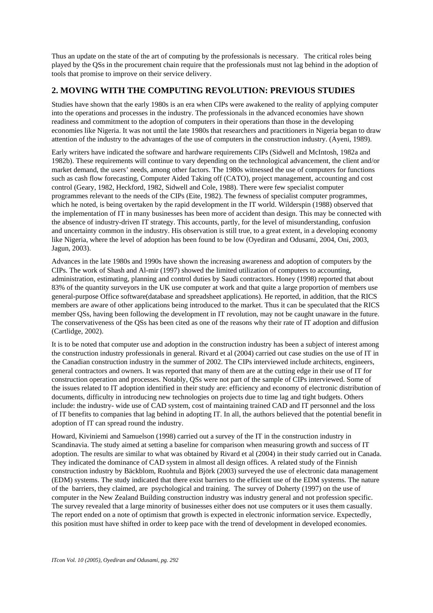Thus an update on the state of the art of computing by the professionals is necessary. The critical roles being played by the QSs in the procurement chain require that the professionals must not lag behind in the adoption of tools that promise to improve on their service delivery.

# **2. MOVING WITH THE COMPUTING REVOLUTION: PREVIOUS STUDIES**

Studies have shown that the early 1980s is an era when CIPs were awakened to the reality of applying computer into the operations and processes in the industry. The professionals in the advanced economies have shown readiness and commitment to the adoption of computers in their operations than those in the developing economies like Nigeria. It was not until the late 1980s that researchers and practitioners in Nigeria began to draw attention of the industry to the advantages of the use of computers in the construction industry. (Ayeni, 1989).

Early writers have indicated the software and hardware requirements CIPs (Sidwell and McIntosh, 1982a and 1982b). These requirements will continue to vary depending on the technological advancement, the client and/or market demand, the users' needs, among other factors. The 1980s witnessed the use of computers for functions such as cash flow forecasting, Computer Aided Taking off (CATO), project management, accounting and cost control (Geary, 1982, Heckford, 1982, Sidwell and Cole, 1988). There were few specialist computer programmes relevant to the needs of the CIPs (Eite, 1982). The fewness of specialist computer programmes, which he noted, is being overtaken by the rapid development in the IT world. Wilderspin (1988) observed that the implementation of IT in many businesses has been more of accident than design. This may be connected with the absence of industry-driven IT strategy. This accounts, partly, for the level of misunderstanding, confusion and uncertainty common in the industry. His observation is still true, to a great extent, in a developing economy like Nigeria, where the level of adoption has been found to be low (Oyediran and Odusami, 2004, Oni, 2003, Jagun, 2003).

Advances in the late 1980s and 1990s have shown the increasing awareness and adoption of computers by the CIPs. The work of Shash and Al-mir (1997) showed the limited utilization of computers to accounting, administration, estimating, planning and control duties by Saudi contractors. Honey (1998) reported that about 83% of the quantity surveyors in the UK use computer at work and that quite a large proportion of members use general-purpose Office software(database and spreadsheet applications). He reported, in addition, that the RICS members are aware of other applications being introduced to the market. Thus it can be speculated that the RICS member QSs, having been following the development in IT revolution, may not be caught unaware in the future. The conservativeness of the QSs has been cited as one of the reasons why their rate of IT adoption and diffusion (Cartlidge, 2002).

It is to be noted that computer use and adoption in the construction industry has been a subject of interest among the construction industry professionals in general. Rivard et al (2004) carried out case studies on the use of IT in the Canadian construction industry in the summer of 2002. The CIPs interviewed include architects, engineers, general contractors and owners. It was reported that many of them are at the cutting edge in their use of IT for construction operation and processes. Notably, QSs were not part of the sample of CIPs interviewed. Some of the issues related to IT adoption identified in their study are: efficiency and economy of electronic distribution of documents, difficulty in introducing new technologies on projects due to time lag and tight budgets. Others include: the industry- wide use of CAD system, cost of maintaining trained CAD and IT personnel and the loss of IT benefits to companies that lag behind in adopting IT. In all, the authors believed that the potential benefit in adoption of IT can spread round the industry.

Howard, Kiviniemi and Samuelson (1998) carried out a survey of the IT in the construction industry in Scandinavia. The study aimed at setting a baseline for comparison when measuring growth and success of IT adoption. The results are similar to what was obtained by Rivard et al (2004) in their study carried out in Canada. They indicated the dominance of CAD system in almost all design offices. A related study of the Finnish construction industry by Bäckblom, Ruohtula and Björk (2003) surveyed the use of electronic data management (EDM) systems. The study indicated that there exist barriers to the efficient use of the EDM systems. The nature of the barriers, they claimed, are psychological and training. The survey of Doherty (1997) on the use of computer in the New Zealand Building construction industry was industry general and not profession specific. The survey revealed that a large minority of businesses either does not use computers or it uses them casually. The report ended on a note of optimism that growth is expected in electronic information service. Expectedly, this position must have shifted in order to keep pace with the trend of development in developed economies.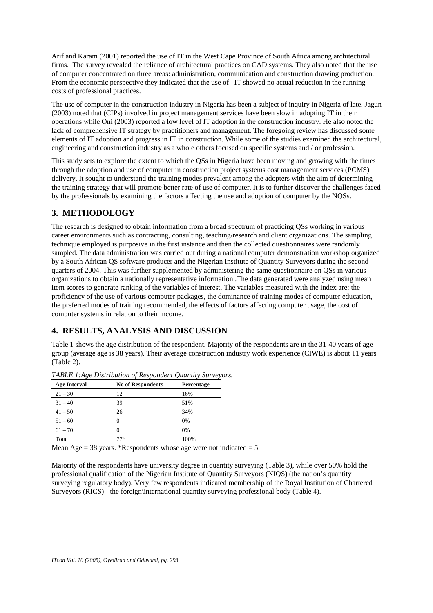Arif and Karam (2001) reported the use of IT in the West Cape Province of South Africa among architectural firms. The survey revealed the reliance of architectural practices on CAD systems. They also noted that the use of computer concentrated on three areas: administration, communication and construction drawing production. From the economic perspective they indicated that the use of IT showed no actual reduction in the running costs of professional practices.

The use of computer in the construction industry in Nigeria has been a subject of inquiry in Nigeria of late. Jagun (2003) noted that (CIPs) involved in project management services have been slow in adopting IT in their operations while Oni (2003) reported a low level of IT adoption in the construction industry. He also noted the lack of comprehensive IT strategy by practitioners and management. The foregoing review has discussed some elements of IT adoption and progress in IT in construction. While some of the studies examined the architectural, engineering and construction industry as a whole others focused on specific systems and / or profession.

This study sets to explore the extent to which the QSs in Nigeria have been moving and growing with the times through the adoption and use of computer in construction project systems cost management services (PCMS) delivery. It sought to understand the training modes prevalent among the adopters with the aim of determining the training strategy that will promote better rate of use of computer. It is to further discover the challenges faced by the professionals by examining the factors affecting the use and adoption of computer by the NQSs.

## **3. METHODOLOGY**

The research is designed to obtain information from a broad spectrum of practicing QSs working in various career environments such as contracting, consulting, teaching/research and client organizations. The sampling technique employed is purposive in the first instance and then the collected questionnaires were randomly sampled. The data administration was carried out during a national computer demonstration workshop organized by a South African QS software producer and the Nigerian Institute of Quantity Surveyors during the second quarters of 2004. This was further supplemented by administering the same questionnaire on QSs in various organizations to obtain a nationally representative information .The data generated were analyzed using mean item scores to generate ranking of the variables of interest. The variables measured with the index are: the proficiency of the use of various computer packages, the dominance of training modes of computer education, the preferred modes of training recommended, the effects of factors affecting computer usage, the cost of computer systems in relation to their income.

# **4. RESULTS, ANALYSIS AND DISCUSSION**

Table 1 shows the age distribution of the respondent. Majority of the respondents are in the 31-40 years of age group (average age is 38 years). Their average construction industry work experience (CIWE) is about 11 years (Table 2).

| $\cdot$             |                          |            |
|---------------------|--------------------------|------------|
| <b>Age Interval</b> | <b>No of Respondents</b> | Percentage |
| $21 - 30$           | 12                       | 16%        |
| $31 - 40$           | 39                       | 51%        |
| $41 - 50$           | 26                       | 34%        |
| $51 - 60$           | $\mathbf{0}$             | 0%         |
| $61 - 70$           |                          | 0%         |
| Total               | 77*                      | 100%       |

*TABLE 1:Age Distribution of Respondent Quantity Surveyors.* 

Mean Age  $= 38$  years. \*Respondents whose age were not indicated  $= 5$ .

Majority of the respondents have university degree in quantity surveying (Table 3), while over 50% hold the professional qualification of the Nigerian Institute of Quantity Surveyors (NIQS) (the nation's quantity surveying regulatory body). Very few respondents indicated membership of the Royal Institution of Chartered Surveyors (RICS) - the foreign\international quantity surveying professional body (Table 4).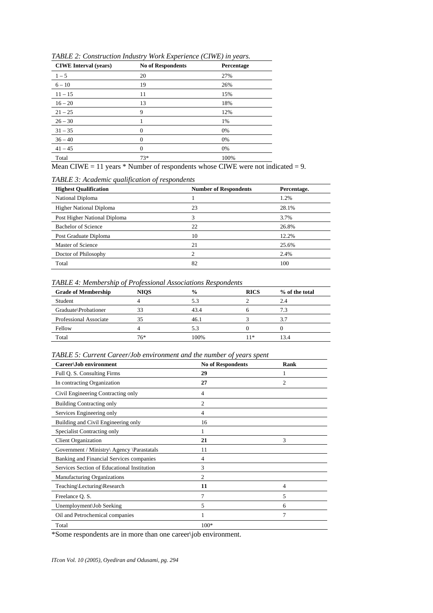| <b>CIWE</b> Interval (years) | <b>No of Respondents</b> | Percentage |
|------------------------------|--------------------------|------------|
| $1 - 5$                      | 20                       | 27%        |
| $6 - 10$                     | 19                       | 26%        |
| $11 - 15$                    | 11                       | 15%        |
| $16 - 20$                    | 13                       | 18%        |
| $21 - 25$                    | 9                        | 12%        |
| $26 - 30$                    |                          | 1%         |
| $31 - 35$                    | $\theta$                 | 0%         |
| $36 - 40$                    | $\theta$                 | 0%         |
| $41 - 45$                    | $\overline{0}$           | 0%         |
| Total                        | $73*$                    | 100%       |

*TABLE 2: Construction Industry Work Experience (CIWE) in years.* 

Mean CIWE = 11 years  $*$  Number of respondents whose CIWE were not indicated = 9.

#### *TABLE 3: Academic qualification of respondents*

| <b>Highest Qualification</b>   | <b>Number of Respondents</b> | Percentage. |
|--------------------------------|------------------------------|-------------|
| National Diploma               |                              | 1.2%        |
| <b>Higher National Diploma</b> | 23                           | 28.1%       |
| Post Higher National Diploma   | 3                            | 3.7%        |
| <b>Bachelor of Science</b>     | 22                           | 26.8%       |
| Post Graduate Diploma          | 10                           | 12.2%       |
| Master of Science              | 21                           | 25.6%       |
| Doctor of Philosophy           | $\mathfrak{D}$               | 2.4%        |
| Total                          | 82                           | 100         |

#### *TABLE 4: Membership of Professional Associations Respondents*

| <b>Grade of Membership</b> | <b>NIOS</b> | $\frac{6}{6}$ | <b>RICS</b> | % of the total |
|----------------------------|-------------|---------------|-------------|----------------|
| Student                    |             | 5.3           |             | 2.4            |
| Graduate\Probationer       | 33          | 43.4          |             | 7.3            |
| Professional Associate     | 35          | 46.1          |             | 3.7            |
| Fellow                     |             | 5.3           |             |                |
| Total                      | 76*         | 100%          | 1*          | 3.4            |

*TABLE 5: Current Career/Job environment and the number of years spent*

| Career\Job environment                      | <b>No of Respondents</b> | Rank           |
|---------------------------------------------|--------------------------|----------------|
| Full Q. S. Consulting Firms                 | 29                       |                |
| In contracting Organization                 | 27                       | $\overline{c}$ |
| Civil Engineering Contracting only          | 4                        |                |
| <b>Building Contracting only</b>            | $\overline{c}$           |                |
| Services Engineering only                   | 4                        |                |
| Building and Civil Engineering only         | 16                       |                |
| Specialist Contracting only                 |                          |                |
| <b>Client Organization</b>                  | 21                       | 3              |
| Government / Ministry\ Agency \Parastatals  | 11                       |                |
| Banking and Financial Services companies    | 4                        |                |
| Services Section of Educational Institution | 3                        |                |
| <b>Manufacturing Organizations</b>          | $\overline{c}$           |                |
| Teaching\Lecturing\Research                 | 11                       | $\overline{4}$ |
| Freelance Q. S.                             | 7                        | 5              |
| Unemployment\Job Seeking                    | 5                        | 6              |
| Oil and Petrochemical companies             |                          | 7              |
| Total                                       | $100*$                   |                |

\*Some respondents are in more than one career\job environment.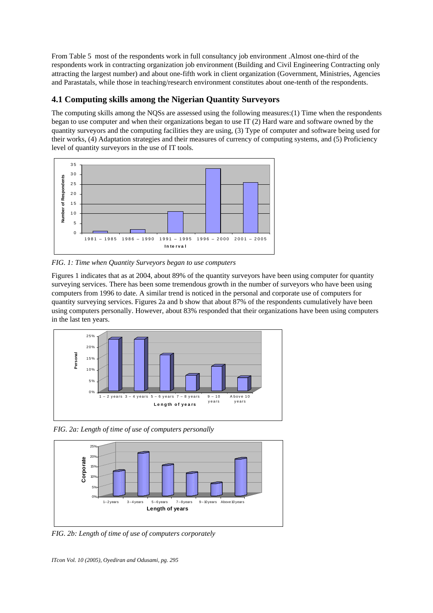From Table 5 most of the respondents work in full consultancy job environment .Almost one-third of the respondents work in contracting organization job environment (Building and Civil Engineering Contracting only attracting the largest number) and about one-fifth work in client organization (Government, Ministries, Agencies and Parastatals, while those in teaching/research environment constitutes about one-tenth of the respondents.

# **4.1 Computing skills among the Nigerian Quantity Surveyors**

The computing skills among the NQSs are assessed using the following measures:(1) Time when the respondents began to use computer and when their organizations began to use IT (2) Hard ware and software owned by the quantity surveyors and the computing facilities they are using, (3) Type of computer and software being used for their works, (4) Adaptation strategies and their measures of currency of computing systems, and (5) Proficiency level of quantity surveyors in the use of IT tools.



*FIG. 1: Time when Quantity Surveyors began to use computers* 

Figures 1 indicates that as at 2004, about 89% of the quantity surveyors have been using computer for quantity surveying services. There has been some tremendous growth in the number of surveyors who have been using computers from 1996 to date. A similar trend is noticed in the personal and corporate use of computers for quantity surveying services. Figures 2a and b show that about 87% of the respondents cumulatively have been using computers personally. However, about 83% responded that their organizations have been using computers in the last ten years.



 *FIG. 2a: Length of time of use of computers personally* 



*FIG. 2b: Length of time of use of computers corporately*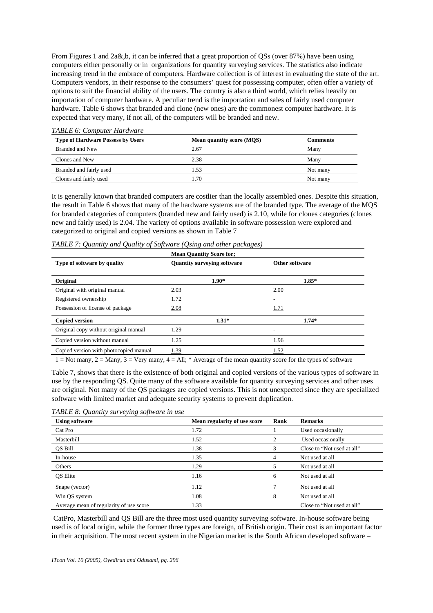From Figures 1 and 2a&,b, it can be inferred that a great proportion of QSs (over 87%) have been using computers either personally or in organizations for quantity surveying services. The statistics also indicate increasing trend in the embrace of computers. Hardware collection is of interest in evaluating the state of the art. Computers vendors, in their response to the consumers' quest for possessing computer, often offer a variety of options to suit the financial ability of the users. The country is also a third world, which relies heavily on importation of computer hardware. A peculiar trend is the importation and sales of fairly used computer hardware. Table 6 shows that branded and clone (new ones) are the commonest computer hardware. It is expected that very many, if not all, of the computers will be branded and new.

| <b>Type of Hardware Possess by Users</b> | <b>Mean quantity score (MQS)</b> | Comments |
|------------------------------------------|----------------------------------|----------|
| Branded and New                          | 2.67                             | Many     |
| Clones and New                           | 2.38                             | Many     |
| Branded and fairly used                  | 1.53                             | Not many |
| Clones and fairly used                   | 1.70                             | Not many |

*TABLE 6: Computer Hardware* 

It is generally known that branded computers are costlier than the locally assembled ones. Despite this situation, the result in Table 6 shows that many of the hardware systems are of the branded type. The average of the MQS for branded categories of computers (branded new and fairly used) is 2.10, while for clones categories (clones new and fairly used) is 2.04. The variety of options available in software possession were explored and categorized to original and copied versions as shown in Table 7

|  |  | TABLE 7: Quantity and Quality of Software (Qsing and other packages) |
|--|--|----------------------------------------------------------------------|
|  |  |                                                                      |

|                                        | <b>Mean Quantity Score for:</b>    |         |                |         |  |
|----------------------------------------|------------------------------------|---------|----------------|---------|--|
| Type of software by quality            | <b>Quantity surveying software</b> |         | Other software |         |  |
| Original                               |                                    | $1.90*$ |                | $1.85*$ |  |
| Original with original manual          | 2.03                               |         | 2.00           |         |  |
| Registered ownership                   | 1.72                               |         | ۰              |         |  |
| Possession of license of package       | 2.08                               |         | 1.71           |         |  |
| <b>Copied version</b>                  |                                    | $1.31*$ |                | $1.74*$ |  |
| Original copy without original manual  | 1.29                               |         | ۰              |         |  |
| Copied version without manual          | 1.25                               |         | 1.96           |         |  |
| Copied version with photocopied manual | 1.39                               |         | 1.52           |         |  |

1 = Not many, 2 = Many, 3 = Very many, 4 = All; \* Average of the mean quantity score for the types of software

Table 7, shows that there is the existence of both original and copied versions of the various types of software in use by the responding QS. Quite many of the software available for quantity surveying services and other uses are original. Not many of the QS packages are copied versions. This is not unexpected since they are specialized software with limited market and adequate security systems to prevent duplication.

*TABLE 8: Quantity surveying software in use* 

| <b>Using software</b>                   | Mean regularity of use score | Rank | <b>Remarks</b>             |
|-----------------------------------------|------------------------------|------|----------------------------|
| Cat Pro                                 | 1.72                         |      | Used occasionally          |
| Masterbill                              | 1.52                         | 2    | Used occasionally          |
| QS Bill                                 | 1.38                         | 3    | Close to "Not used at all" |
| In-house                                | 1.35                         | 4    | Not used at all            |
| Others                                  | 1.29                         | 5    | Not used at all            |
| <b>OS</b> Elite                         | 1.16                         | 6    | Not used at all            |
| Snape (vector)                          | 1.12                         | π    | Not used at all            |
| Win QS system                           | 1.08                         | 8    | Not used at all            |
| Average mean of regularity of use score | 1.33                         |      | Close to "Not used at all" |

 CatPro, Masterbill and QS Bill are the three most used quantity surveying software. In-house software being used is of local origin, while the former three types are foreign, of British origin. Their cost is an important factor in their acquisition. The most recent system in the Nigerian market is the South African developed software –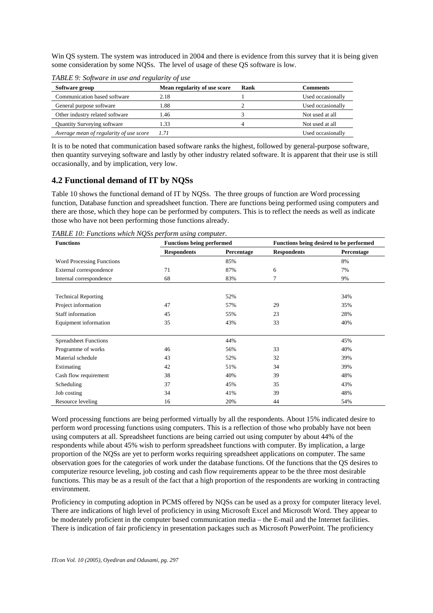Win QS system. The system was introduced in 2004 and there is evidence from this survey that it is being given some consideration by some NQSs. The level of usage of these QS software is low.

| Software group                          | Mean regularity of use score | Rank | Comments          |
|-----------------------------------------|------------------------------|------|-------------------|
| Communication based software            | 2.18                         |      | Used occasionally |
| General purpose software                | 1.88                         |      | Used occasionally |
| Other industry related software         | 1.46                         |      | Not used at all   |
| Quantity Surveying software             | 1.33                         |      | Not used at all   |
| Average mean of regularity of use score | 1.71                         |      | Used occasionally |

*TABLE 9: Software in use and regularity of use* 

It is to be noted that communication based software ranks the highest, followed by general-purpose software, then quantity surveying software and lastly by other industry related software. It is apparent that their use is still occasionally, and by implication, very low.

### **4.2 Functional demand of IT by NQSs**

Table 10 shows the functional demand of IT by NQSs. The three groups of function are Word processing function, Database function and spreadsheet function. There are functions being performed using computers and there are those, which they hope can be performed by computers. This is to reflect the needs as well as indicate those who have not been performing those functions already.

*TABLE 10: Functions which NQSs perform using computer.* 

| <b>Functions</b>                 | <b>Functions being performed</b> |            |                    | Functions being desired to be performed |
|----------------------------------|----------------------------------|------------|--------------------|-----------------------------------------|
|                                  | <b>Respondents</b>               | Percentage | <b>Respondents</b> | Percentage                              |
| <b>Word Processing Functions</b> |                                  | 85%        |                    | 8%                                      |
| External correspondence          | 71                               | 87%        | 6                  | 7%                                      |
| Internal correspondence          | 68                               | 83%        | 7                  | 9%                                      |
|                                  |                                  |            |                    |                                         |
| <b>Technical Reporting</b>       |                                  | 52%        |                    | 34%                                     |
| Project information              | 47                               | 57%        | 29                 | 35%                                     |
| <b>Staff information</b>         | 45                               | 55%        | 23                 | 28%                                     |
| Equipment information            | 35                               | 43%        | 33                 | 40%                                     |
|                                  |                                  |            |                    |                                         |
| <b>Spreadsheet Functions</b>     |                                  | 44%        |                    | 45%                                     |
| Programme of works               | 46                               | 56%        | 33                 | 40%                                     |
| Material schedule                | 43                               | 52%        | 32                 | 39%                                     |
| Estimating                       | 42                               | 51%        | 34                 | 39%                                     |
| Cash flow requirement            | 38                               | 40%        | 39                 | 48%                                     |
| Scheduling                       | 37                               | 45%        | 35                 | 43%                                     |
| Job costing                      | 34                               | 41%        | 39                 | 48%                                     |
| Resource leveling                | 16                               | 20%        | 44                 | 54%                                     |

Word processing functions are being performed virtually by all the respondents. About 15% indicated desire to perform word processing functions using computers. This is a reflection of those who probably have not been using computers at all. Spreadsheet functions are being carried out using computer by about 44% of the respondents while about 45% wish to perform spreadsheet functions with computer. By implication, a large proportion of the NQSs are yet to perform works requiring spreadsheet applications on computer. The same observation goes for the categories of work under the database functions. Of the functions that the QS desires to computerize resource leveling, job costing and cash flow requirements appear to be the three most desirable functions. This may be as a result of the fact that a high proportion of the respondents are working in contracting environment.

Proficiency in computing adoption in PCMS offered by NQSs can be used as a proxy for computer literacy level. There are indications of high level of proficiency in using Microsoft Excel and Microsoft Word. They appear to be moderately proficient in the computer based communication media – the E-mail and the Internet facilities. There is indication of fair proficiency in presentation packages such as Microsoft PowerPoint. The proficiency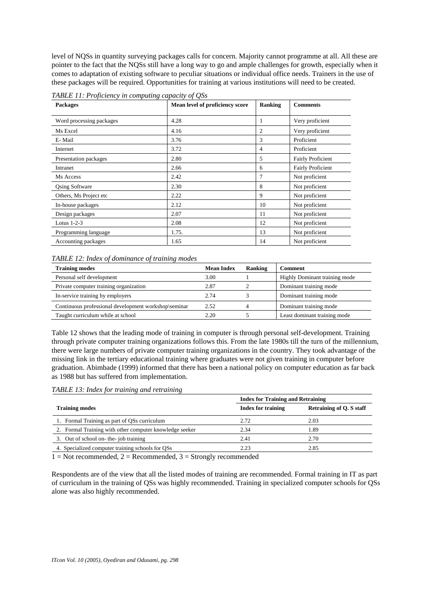level of NQSs in quantity surveying packages calls for concern. Majority cannot programme at all. All these are pointer to the fact that the NQSs still have a long way to go and ample challenges for growth, especially when it comes to adaptation of existing software to peculiar situations or individual office needs. Trainers in the use of these packages will be required. Opportunities for training at various institutions will need to be created.

| <b>Packages</b>          | $\mathbf{C}$<br>$\sim$<br>Mean level of proficiency score | Ranking | <b>Comments</b>          |
|--------------------------|-----------------------------------------------------------|---------|--------------------------|
| Word processing packages | 4.28                                                      | 1       | Very proficient          |
| Ms Excel                 | 4.16                                                      | 2       | Very proficient          |
| E-Mail                   | 3.76                                                      | 3       | Proficient               |
| Internet                 | 3.72                                                      | 4       | Proficient               |
| Presentation packages    | 2.80                                                      | 5       | <b>Fairly Proficient</b> |
| Intranet                 | 2.66                                                      | 6       | <b>Fairly Proficient</b> |
| Ms Access                | 2.42                                                      | 7       | Not proficient           |
| <b>Qsing Software</b>    | 2.30                                                      | 8       | Not proficient           |
| Others, Ms Project etc   | 2.22                                                      | 9       | Not proficient           |
| In-house packages        | 2.12                                                      | 10      | Not proficient           |
| Design packages          | 2.07                                                      | 11      | Not proficient           |
| Lotus $1-2-3$            | 2.08                                                      | 12      | Not proficient           |
| Programming language     | 1.75.                                                     | 13      | Not proficient           |
| Accounting packages      | 1.65                                                      | 14      | Not proficient           |

*TABLE 11: Proficiency in computing capacity of QSs* 

#### *TABLE 12: Index of dominance of training modes*

| <b>Training modes</b>                                | <b>Mean Index</b> | Ranking | Comment                       |
|------------------------------------------------------|-------------------|---------|-------------------------------|
| Personal self development                            | 3.00              |         | Highly Dominant training mode |
| Private computer training organization               | 2.87              |         | Dominant training mode        |
| In-service training by employers                     | 2.74              |         | Dominant training mode        |
| Continuous professional development workshop\seminar | 2.52              |         | Dominant training mode        |
| Taught curriculum while at school                    | 2.20              |         | Least dominant training mode  |

Table 12 shows that the leading mode of training in computer is through personal self-development. Training through private computer training organizations follows this. From the late 1980s till the turn of the millennium, there were large numbers of private computer training organizations in the country. They took advantage of the missing link in the tertiary educational training where graduates were not given training in computer before graduation. Abimbade (1999) informed that there has been a national policy on computer education as far back as 1988 but has suffered from implementation.

*TABLE 13: Index for training and retraining*

|                                                         | <b>Index for Training and Retraining</b> |                          |
|---------------------------------------------------------|------------------------------------------|--------------------------|
| <b>Training modes</b>                                   | <b>Index for training</b>                | Retraining of Q. S staff |
| 1. Formal Training as part of QSs curriculum            | 2.72                                     | 2.03                     |
| 2. Formal Training with other computer knowledge seeker | 2.34                                     | 1.89                     |
| 3. Out of school on-the-job training                    | 2.41                                     | 2.70                     |
| 4. Specialized computer training schools for QSs        | 2.23                                     | 2.85                     |

 $1 = Not recommended, 2 = Recommended, 3 = Strongly recommended$ 

Respondents are of the view that all the listed modes of training are recommended. Formal training in IT as part of curriculum in the training of QSs was highly recommended. Training in specialized computer schools for QSs alone was also highly recommended.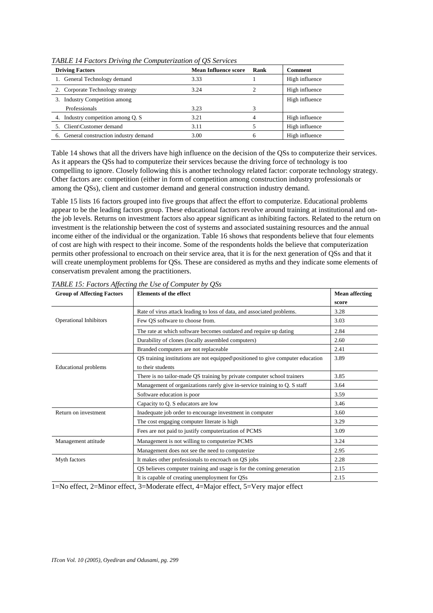| <b>Driving Factors</b>                  | <b>Mean Influence score</b> | Rank | Comment        |
|-----------------------------------------|-----------------------------|------|----------------|
| 1. General Technology demand            | 3.33                        |      | High influence |
| 2. Corporate Technology strategy        | 3.24                        |      | High influence |
| 3. Industry Competition among           |                             |      | High influence |
| Professionals                           | 3.23                        |      |                |
| 4. Industry competition among Q. S.     | 3.21                        | 4    | High influence |
| 5. Client Customer demand               | 3.11                        |      | High influence |
| 6. General construction industry demand | 3.00                        | h    | High influence |

*TABLE 14 Factors Driving the Computerization of QS Services* 

Table 14 shows that all the drivers have high influence on the decision of the QSs to computerize their services. As it appears the QSs had to computerize their services because the driving force of technology is too compelling to ignore. Closely following this is another technology related factor: corporate technology strategy. Other factors are: competition (either in form of competition among construction industry professionals or among the QSs), client and customer demand and general construction industry demand.

Table 15 lists 16 factors grouped into five groups that affect the effort to computerize. Educational problems appear to be the leading factors group. These educational factors revolve around training at institutional and onthe job levels. Returns on investment factors also appear significant as inhibiting factors. Related to the return on investment is the relationship between the cost of systems and associated sustaining resources and the annual income either of the individual or the organization. Table 16 shows that respondents believe that four elements of cost are high with respect to their income. Some of the respondents holds the believe that computerization permits other professional to encroach on their service area, that it is for the next generation of QSs and that it will create unemployment problems for QSs. These are considered as myths and they indicate some elements of conservatism prevalent among the practitioners.

| <b>Group of Affecting Factors</b> | <b>Elements of the effect</b>                                                   | <b>Mean affecting</b> |  |  |
|-----------------------------------|---------------------------------------------------------------------------------|-----------------------|--|--|
|                                   |                                                                                 | score                 |  |  |
|                                   | Rate of virus attack leading to loss of data, and associated problems.          |                       |  |  |
| <b>Operational Inhibitors</b>     | Few OS software to choose from.                                                 | 3.03                  |  |  |
|                                   | The rate at which software becomes outdated and require up dating               | 2.84                  |  |  |
|                                   | Durability of clones (locally assembled computers)                              | 2.60                  |  |  |
|                                   | Branded computers are not replaceable                                           | 2.41                  |  |  |
|                                   | QS training institutions are not equipped\positioned to give computer education | 3.89                  |  |  |
| Educational problems              | to their students                                                               |                       |  |  |
|                                   | There is no tailor-made QS training by private computer school trainers         | 3.85                  |  |  |
|                                   | Management of organizations rarely give in-service training to Q. S staff       | 3.64                  |  |  |
|                                   | Software education is poor                                                      | 3.59                  |  |  |
|                                   | Capacity to Q. S educators are low                                              | 3.46                  |  |  |
| Return on investment              | Inadequate job order to encourage investment in computer                        | 3.60                  |  |  |
|                                   | The cost engaging computer literate is high                                     | 3.29                  |  |  |
|                                   | Fees are not paid to justify computerization of PCMS                            | 3.09                  |  |  |
| Management attitude               | Management is not willing to computerize PCMS                                   | 3.24                  |  |  |
|                                   | Management does not see the need to computerize                                 | 2.95                  |  |  |
| Myth factors                      | It makes other professionals to encroach on QS jobs                             | 2.28                  |  |  |
|                                   | QS believes computer training and usage is for the coming generation            | 2.15                  |  |  |
|                                   | It is capable of creating unemployment for QSs                                  | 2.15                  |  |  |

*TABLE 15: Factors Affecting the Use of Computer by QSs*

1=No effect, 2=Minor effect, 3=Moderate effect, 4=Major effect, 5=Very major effect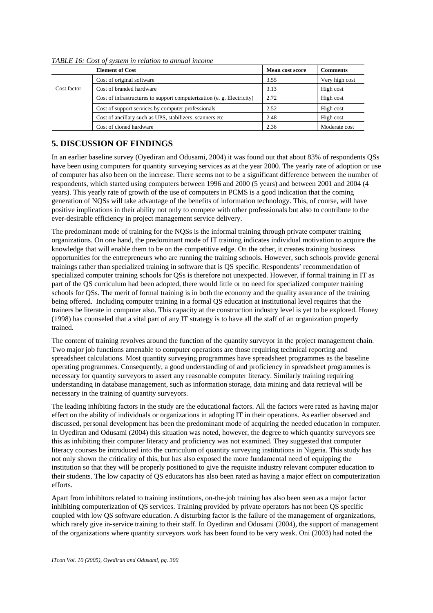|             | <b>Element of Cost</b>                                                 | <b>Mean cost score</b> | <b>Comments</b> |
|-------------|------------------------------------------------------------------------|------------------------|-----------------|
|             | Cost of original software                                              | 3.55                   | Very high cost  |
| Cost factor | Cost of branded hardware                                               | 3.13                   | High cost       |
|             | Cost of infrastructures to support computerization (e. g. Electricity) | 2.72                   | High cost       |
|             | Cost of support services by computer professionals                     | 2.52                   | High cost       |
|             | Cost of ancillary such as UPS, stabilizers, scanners etc.              | 2.48                   | High cost       |
|             | Cost of cloned hardware                                                | 2.36                   | Moderate cost   |

*TABLE 16: Cost of system in relation to annual income* 

# **5. DISCUSSION OF FINDINGS**

In an earlier baseline survey (Oyediran and Odusami, 2004) it was found out that about 83% of respondents QSs have been using computers for quantity surveying services as at the year 2000. The yearly rate of adoption or use of computer has also been on the increase. There seems not to be a significant difference between the number of respondents, which started using computers between 1996 and 2000 (5 years) and between 2001 and 2004 (4 years). This yearly rate of growth of the use of computers in PCMS is a good indication that the coming generation of NQSs will take advantage of the benefits of information technology. This, of course, will have positive implications in their ability not only to compete with other professionals but also to contribute to the ever-desirable efficiency in project management service delivery.

The predominant mode of training for the NQSs is the informal training through private computer training organizations. On one hand, the predominant mode of IT training indicates individual motivation to acquire the knowledge that will enable them to be on the competitive edge. On the other, it creates training business opportunities for the entrepreneurs who are running the training schools. However, such schools provide general trainings rather than specialized training in software that is QS specific. Respondents' recommendation of specialized computer training schools for QSs is therefore not unexpected. However, if formal training in IT as part of the QS curriculum had been adopted, there would little or no need for specialized computer training schools for QSs. The merit of formal training is in both the economy and the quality assurance of the training being offered. Including computer training in a formal QS education at institutional level requires that the trainers be literate in computer also. This capacity at the construction industry level is yet to be explored. Honey (1998) has counseled that a vital part of any IT strategy is to have all the staff of an organization properly trained.

The content of training revolves around the function of the quantity surveyor in the project management chain. Two major job functions amenable to computer operations are those requiring technical reporting and spreadsheet calculations. Most quantity surveying programmes have spreadsheet programmes as the baseline operating programmes. Consequently, a good understanding of and proficiency in spreadsheet programmes is necessary for quantity surveyors to assert any reasonable computer literacy. Similarly training requiring understanding in database management, such as information storage, data mining and data retrieval will be necessary in the training of quantity surveyors.

The leading inhibiting factors in the study are the educational factors. All the factors were rated as having major effect on the ability of individuals or organizations in adopting IT in their operations. As earlier observed and discussed, personal development has been the predominant mode of acquiring the needed education in computer. In Oyediran and Odusami (2004) this situation was noted, however, the degree to which quantity surveyors see this as inhibiting their computer literacy and proficiency was not examined. They suggested that computer literacy courses be introduced into the curriculum of quantity surveying institutions in Nigeria. This study has not only shown the criticality of this, but has also exposed the more fundamental need of equipping the institution so that they will be properly positioned to give the requisite industry relevant computer education to their students. The low capacity of QS educators has also been rated as having a major effect on computerization efforts.

Apart from inhibitors related to training institutions, on-the-job training has also been seen as a major factor inhibiting computerization of QS services. Training provided by private operators has not been QS specific coupled with low QS software education. A disturbing factor is the failure of the management of organizations, which rarely give in-service training to their staff. In Oyediran and Odusami (2004), the support of management of the organizations where quantity surveyors work has been found to be very weak. Oni (2003) had noted the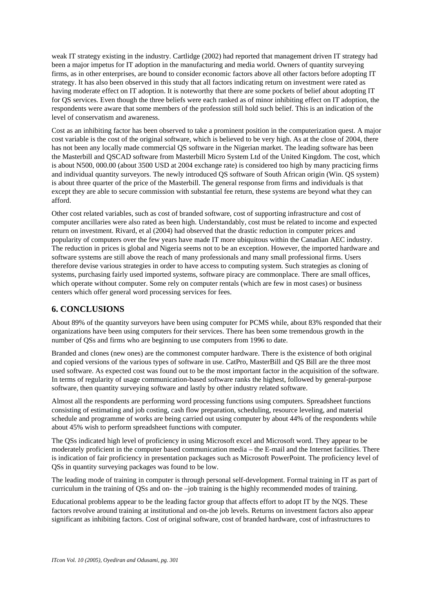weak IT strategy existing in the industry. Cartlidge (2002) had reported that management driven IT strategy had been a major impetus for IT adoption in the manufacturing and media world. Owners of quantity surveying firms, as in other enterprises, are bound to consider economic factors above all other factors before adopting IT strategy. It has also been observed in this study that all factors indicating return on investment were rated as having moderate effect on IT adoption. It is noteworthy that there are some pockets of belief about adopting IT for QS services. Even though the three beliefs were each ranked as of minor inhibiting effect on IT adoption, the respondents were aware that some members of the profession still hold such belief. This is an indication of the level of conservatism and awareness.

Cost as an inhibiting factor has been observed to take a prominent position in the computerization quest. A major cost variable is the cost of the original software, which is believed to be very high. As at the close of 2004, there has not been any locally made commercial QS software in the Nigerian market. The leading software has been the Masterbill and QSCAD software from Masterbill Micro System Ltd of the United Kingdom. The cost, which is about N500, 000.00 (about 3500 USD at 2004 exchange rate) is considered too high by many practicing firms and individual quantity surveyors. The newly introduced QS software of South African origin (Win. QS system) is about three quarter of the price of the Masterbill. The general response from firms and individuals is that except they are able to secure commission with substantial fee return, these systems are beyond what they can afford.

Other cost related variables, such as cost of branded software, cost of supporting infrastructure and cost of computer ancillaries were also rated as been high. Understandably, cost must be related to income and expected return on investment. Rivard, et al (2004) had observed that the drastic reduction in computer prices and popularity of computers over the few years have made IT more ubiquitous within the Canadian AEC industry. The reduction in prices is global and Nigeria seems not to be an exception. However, the imported hardware and software systems are still above the reach of many professionals and many small professional firms. Users therefore devise various strategies in order to have access to computing system. Such strategies as cloning of systems, purchasing fairly used imported systems, software piracy are commonplace. There are small offices, which operate without computer. Some rely on computer rentals (which are few in most cases) or business centers which offer general word processing services for fees.

### **6. CONCLUSIONS**

About 89% of the quantity surveyors have been using computer for PCMS while, about 83% responded that their organizations have been using computers for their services. There has been some tremendous growth in the number of QSs and firms who are beginning to use computers from 1996 to date.

Branded and clones (new ones) are the commonest computer hardware. There is the existence of both original and copied versions of the various types of software in use. CatPro, MasterBill and QS Bill are the three most used software. As expected cost was found out to be the most important factor in the acquisition of the software. In terms of regularity of usage communication-based software ranks the highest, followed by general-purpose software, then quantity surveying software and lastly by other industry related software.

Almost all the respondents are performing word processing functions using computers. Spreadsheet functions consisting of estimating and job costing, cash flow preparation, scheduling, resource leveling, and material schedule and programme of works are being carried out using computer by about 44% of the respondents while about 45% wish to perform spreadsheet functions with computer.

The QSs indicated high level of proficiency in using Microsoft excel and Microsoft word. They appear to be moderately proficient in the computer based communication media – the E-mail and the Internet facilities. There is indication of fair proficiency in presentation packages such as Microsoft PowerPoint. The proficiency level of QSs in quantity surveying packages was found to be low.

The leading mode of training in computer is through personal self-development. Formal training in IT as part of curriculum in the training of QSs and on- the –job training is the highly recommended modes of training.

Educational problems appear to be the leading factor group that affects effort to adopt IT by the NQS. These factors revolve around training at institutional and on-the job levels. Returns on investment factors also appear significant as inhibiting factors. Cost of original software, cost of branded hardware, cost of infrastructures to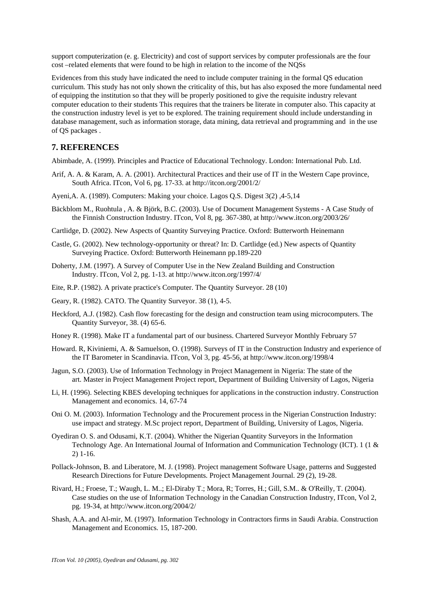support computerization (e. g. Electricity) and cost of support services by computer professionals are the four cost –related elements that were found to be high in relation to the income of the NQSs

Evidences from this study have indicated the need to include computer training in the formal QS education curriculum. This study has not only shown the criticality of this, but has also exposed the more fundamental need of equipping the institution so that they will be properly positioned to give the requisite industry relevant computer education to their students This requires that the trainers be literate in computer also. This capacity at the construction industry level is yet to be explored. The training requirement should include understanding in database management, such as information storage, data mining, data retrieval and programming and in the use of QS packages .

#### **7. REFERENCES**

Abimbade, A. (1999). Principles and Practice of Educational Technology. London: International Pub. Ltd.

- Arif, A. A. & Karam, A. A. (2001). Architectural Practices and their use of IT in the Western Cape province, South Africa. ITcon, Vol 6, pg. 17-33. at http://itcon.org/2001/2/
- Ayeni,A. A. (1989). Computers: Making your choice. Lagos Q.S. Digest 3(2) ,4-5,14
- Bäckblom M., Ruohtula , A. & Björk, B.C. (2003). Use of Document Management Systems A Case Study of the Finnish Construction Industry. ITcon, Vol 8, pg. 367-380, at http://www.itcon.org/2003/26/
- Cartlidge, D. (2002). New Aspects of Quantity Surveying Practice. Oxford: Butterworth Heinemann
- Castle, G. (2002). New technology-opportunity or threat? In: D. Cartlidge (ed.) New aspects of Quantity Surveying Practice. Oxford: Butterworth Heinemann pp.189-220
- Doherty, J.M. (1997). A Survey of Computer Use in the New Zealand Building and Construction Industry. ITcon, Vol 2, pg. 1-13. at http://www.itcon.org/1997/4/
- Eite, R.P. (1982). A private practice's Computer. The Quantity Surveyor. 28 (10)
- Geary, R. (1982). CATO. The Quantity Surveyor. 38 (1), 4-5.
- Heckford, A.J. (1982). Cash flow forecasting for the design and construction team using microcomputers. The Quantity Surveyor, 38. (4) 65-6.
- Honey R. (1998). Make IT a fundamental part of our business. Chartered Surveyor Monthly February 57
- Howard. R, Kiviniemi, A. & Samuelson, O. (1998). Surveys of IT in the Construction Industry and experience of the IT Barometer in Scandinavia. ITcon, Vol 3, pg. 45-56, at http://www.itcon.org/1998/4
- Jagun, S.O. (2003). Use of Information Technology in Project Management in Nigeria: The state of the art. Master in Project Management Project report, Department of Building University of Lagos, Nigeria
- Li, H. (1996). Selecting KBES developing techniques for applications in the construction industry. Construction Management and economics. 14, 67-74
- Oni O. M. (2003). Information Technology and the Procurement process in the Nigerian Construction Industry: use impact and strategy. M.Sc project report, Department of Building, University of Lagos, Nigeria.
- Oyediran O. S. and Odusami, K.T. (2004). Whither the Nigerian Quantity Surveyors in the Information Technology Age. An International Journal of Information and Communication Technology (ICT). 1 (1 & 2) 1-16.
- Pollack-Johnson, B. and Liberatore, M. J. (1998). Project management Software Usage, patterns and Suggested Research Directions for Future Developments. Project Management Journal. 29 (2), 19-28.
- Rivard, H.; Froese, T.; Waugh, L. M..; El-Diraby T.; Mora, R; Torres, H.; Gill, S.M.. & O'Reilly, T. (2004). Case studies on the use of Information Technology in the Canadian Construction Industry, ITcon, Vol 2, pg. 19-34, at http://www.itcon.org/2004/2/
- Shash, A.A. and Al-mir, M. (1997). Information Technology in Contractors firms in Saudi Arabia. Construction Management and Economics. 15, 187-200.